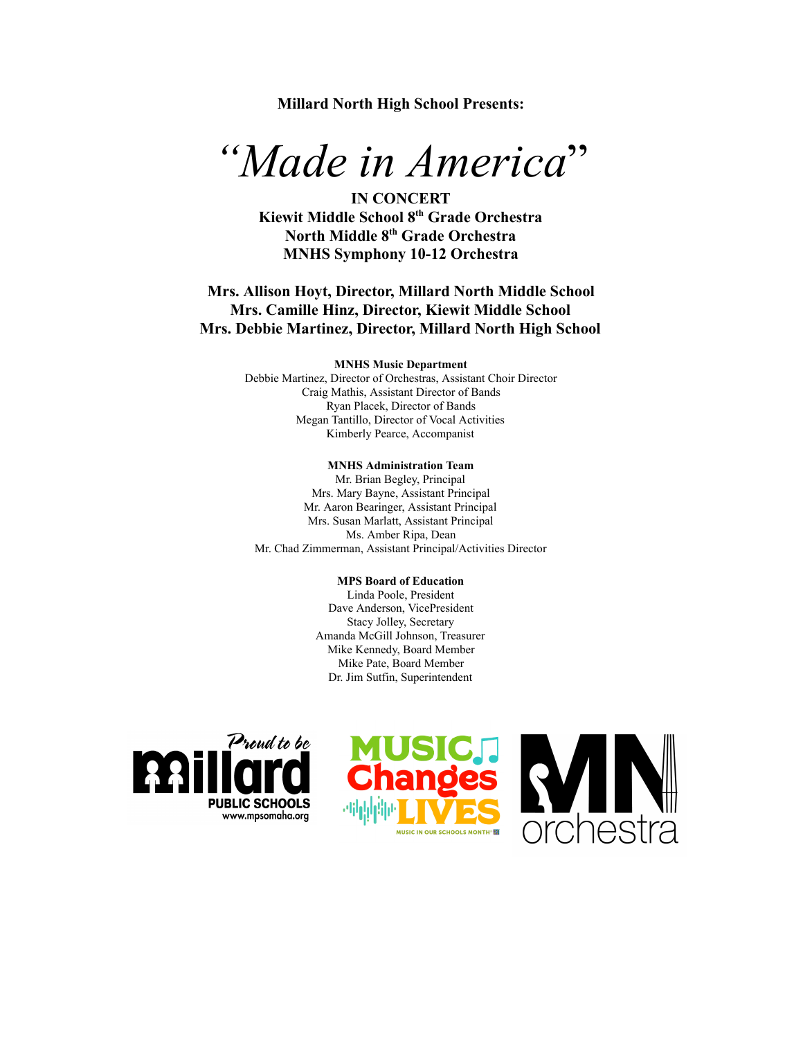**Millard North High School Presents:** 

# *"Made in America"*

**IN CONCERT Kiewit Middle School 8 th Grade Orchestra North Middle 8 th Grade Orchestra MNHS Symphony 10-12 Orchestra** 

# **Mrs. Allison Hoyt, Director, Millard North Middle School Mrs. Camille Hinz, Director, Kiewit Middle School Mrs. Debbie Martinez, Director, Millard North High School**

#### **MNHS Music Department**

Debbie Martinez, Director of Orchestras, Assistant Choir Director Craig Mathis, Assistant Director of Bands Ryan Placek, Director of Bands Megan Tantillo, Director of Vocal Activities Kimberly Pearce, Accompanist

#### **MNHS Administration Team**

Mr. Brian Begley, Principal Mrs. Mary Bayne, Assistant Principal Mr. Aaron Bearinger, Assistant Principal Mrs. Susan Marlatt, Assistant Principal Ms. Amber Ripa, Dean Mr. Chad Zimmerman, Assistant Principal/Activities Director

#### **MPS Board of Education**

Linda Poole, President Dave Anderson, VicePresident Stacy Jolley, Secretary Amanda McGill Johnson, Treasurer Mike Kennedy, Board Member Mike Pate, Board Member Dr. Jim Sutfin, Superintendent



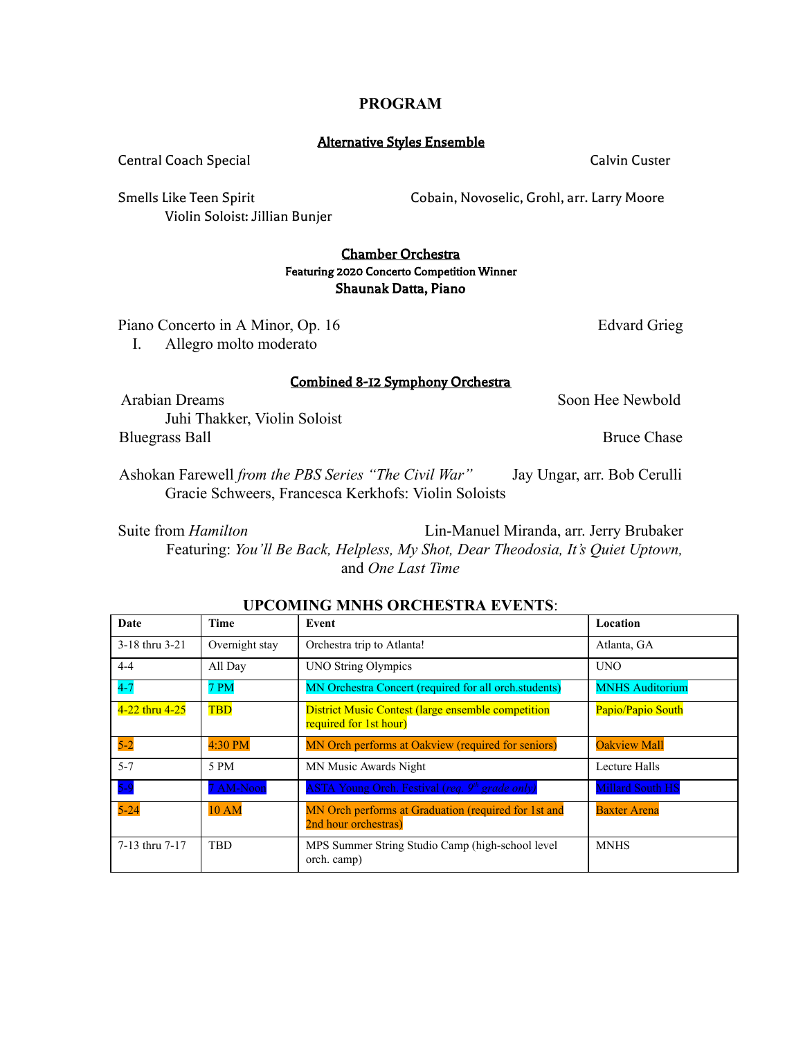# **PROGRAM**

## Alternative Styles Ensemble

Central Coach Special Coach Special Calvin Custer

Smells Like Teen Spirit Cobain, Novoselic, Grohl, arr. Larry Moore

Violin Soloist: Jillian Bunjer

# Chamber Orchestra Featuring 2020 Concerto Competition Winner Shaunak Datta, Piano

Piano Concerto in A Minor, Op. 16 Edvard Grieg

I. Allegro molto moderato

# Combined 8-12 Symphony Orchestra

Arabian Dreams Soon Hee Newbold Juhi Thakker, Violin Soloist Bluegrass Ball Bruce Chase

Ashokan Farewell *from the PBS Series "The Civil War"* Jay Ungar, arr. Bob Cerulli Gracie Schweers, Francesca Kerkhofs: Violin Soloists

Suite from *Hamilton* Lin-Manuel Miranda, arr. Jerry Brubaker Featuring: *You'll Be Back, Helpless, My Shot, Dear Theodosia, It's Quiet Uptown,*  and *One Last Time* 

| Date           | <b>Time</b>    | Event                                                                               | Location                |
|----------------|----------------|-------------------------------------------------------------------------------------|-------------------------|
| 3-18 thru 3-21 | Overnight stay | Orchestra trip to Atlanta!                                                          | Atlanta, GA             |
| $4 - 4$        | All Day        | <b>UNO String Olympics</b>                                                          | <b>UNO</b>              |
| $4-7$          | 7 PM           | MN Orchestra Concert (required for all orch.students)                               | <b>MNHS Auditorium</b>  |
| 4-22 thru 4-25 | <b>TBD</b>     | <b>District Music Contest (large ensemble competition</b><br>required for 1st hour) | Papio/Papio South       |
| $5-2$          | 4:30 PM        | MN Orch performs at Oakview (required for seniors)                                  | <b>Oakview Mall</b>     |
| $5 - 7$        | 5 PM           | MN Music Awards Night                                                               | Lecture Halls           |
| $5-9$          | 7 AM-Noon      | ASTA Young Orch. Festival (req. 9 <sup>th</sup> grade only)                         | <b>Millard South HS</b> |
| $5 - 24$       | <b>10 AM</b>   | MN Orch performs at Graduation (required for 1st and<br>2nd hour orchestras)        | <b>Baxter Arena</b>     |
| 7-13 thru 7-17 | <b>TBD</b>     | MPS Summer String Studio Camp (high-school level<br>orch. camp)                     | <b>MNHS</b>             |

# **UPCOMING MNHS ORCHESTRA EVENTS:**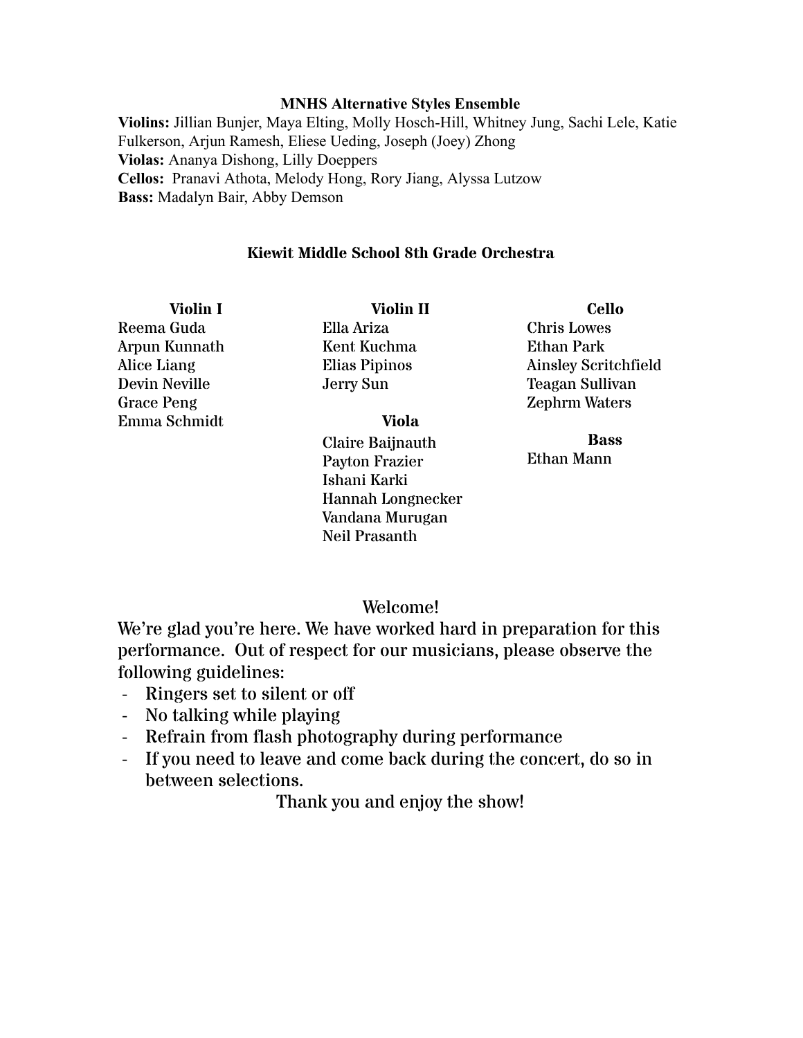# **MNHS Alternative Styles Ensemble**

**Violins:** Jillian Bunjer, Maya Elting, Molly Hosch-Hill, Whitney Jung, Sachi Lele, Katie Fulkerson, Arjun Ramesh, Eliese Ueding, Joseph (Joey) Zhong **Violas:** Ananya Dishong, Lilly Doeppers **Cellos:** Pranavi Athota, Melody Hong, Rory Jiang, Alyssa Lutzow **Bass:** Madalyn Bair, Abby Demson

# **Kiewit Middle School 8th Grade Orchestra**

**Violin I**  Reema Guda Arpun Kunnath Alice Liang Devin Neville Grace Peng Emma Schmidt

**Violin II**  Ella Ariza Kent Kuchma Elias Pipinos Jerry Sun

# **Viola**

Claire Baijnauth Payton Frazier Ishani Karki Hannah Longnecker Vandana Murugan Neil Prasanth

**Cello**  Chris Lowes Ethan Park Ainsley Scritchfield Teagan Sullivan Zephrm Waters

**Bass**  Ethan Mann

# Welcome!

We're glad you're here. We have worked hard in preparation for this performance. Out of respect for our musicians, please observe the following guidelines:

- Ringers set to silent or off
- No talking while playing
- Refrain from flash photography during performance
- If you need to leave and come back during the concert, do so in between selections.

Thank you and enjoy the show!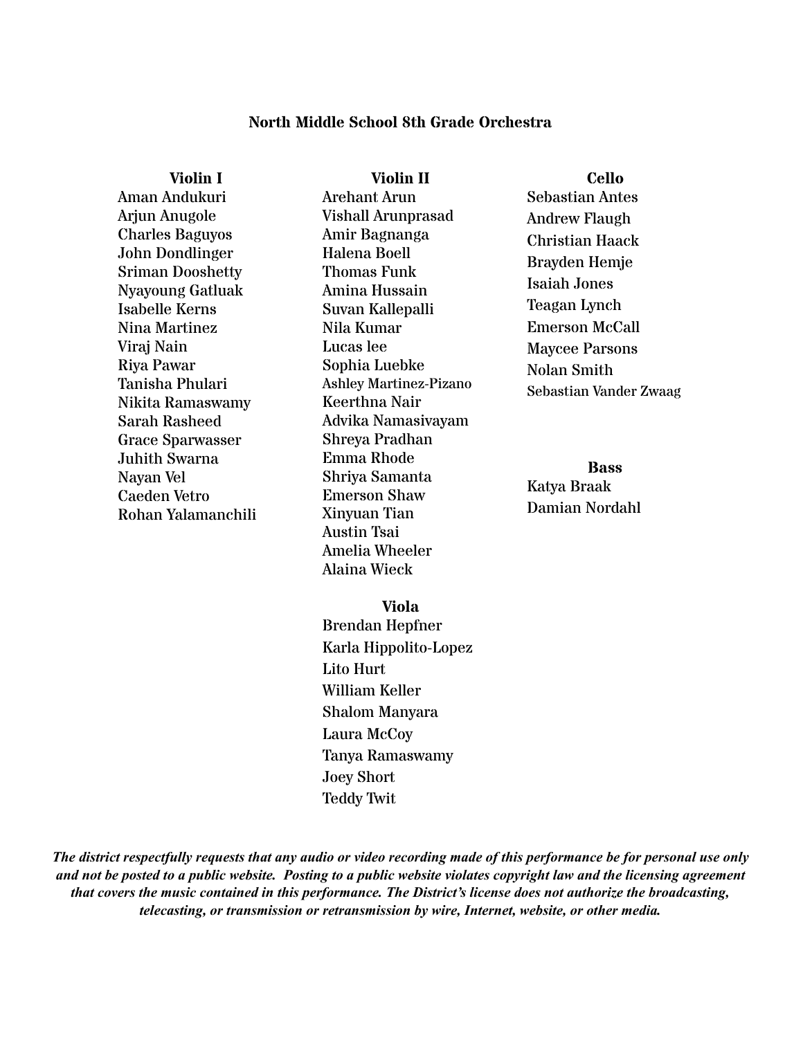# **North Middle School 8th Grade Orchestra**

**Violin I**  Aman Andukuri Arjun Anugole Charles Baguyos John Dondlinger Sriman Dooshetty Nyayoung Gatluak Isabelle Kerns Nina Martinez Viraj Nain Riya Pawar Tanisha Phulari Nikita Ramaswamy Sarah Rasheed Grace Sparwasser Juhith Swarna Nayan Vel Caeden Vetro Rohan Yalamanchili

**Violin II**  Arehant Arun Vishall Arunprasad Amir Bagnanga Halena Boell Thomas Funk Amina Hussain Suvan Kallepalli Nila Kumar Lucas lee Sophia Luebke Ashley Martinez-Pizano Keerthna Nair Advika Namasivayam Shreya Pradhan Emma Rhode Shriya Samanta Emerson Shaw Xinyuan Tian Austin Tsai Amelia Wheeler Alaina Wieck

**Cello** 

Sebastian Antes Andrew Flaugh Christian Haack Brayden Hemje Isaiah Jones Teagan Lynch Emerson McCall Maycee Parsons Nolan Smith Sebastian Vander Zwaag

**Bass**  Katya Braak Damian Nordahl

**Viola** 

Brendan Hepfner Karla Hippolito-Lopez Lito Hurt William Keller Shalom Manyara Laura McCoy Tanya Ramaswamy Joey Short Teddy Twit

The district respectfully requests that any audio or video recording made of this performance be for personal use only and not be posted to a public website. Posting to a public website violates copyright law and the licensing agreement *that covers the music contained in this performance. The District's license does not authorize the broadcasting, telecasting, or transmission or retransmission by wire, Internet, website, or other media.*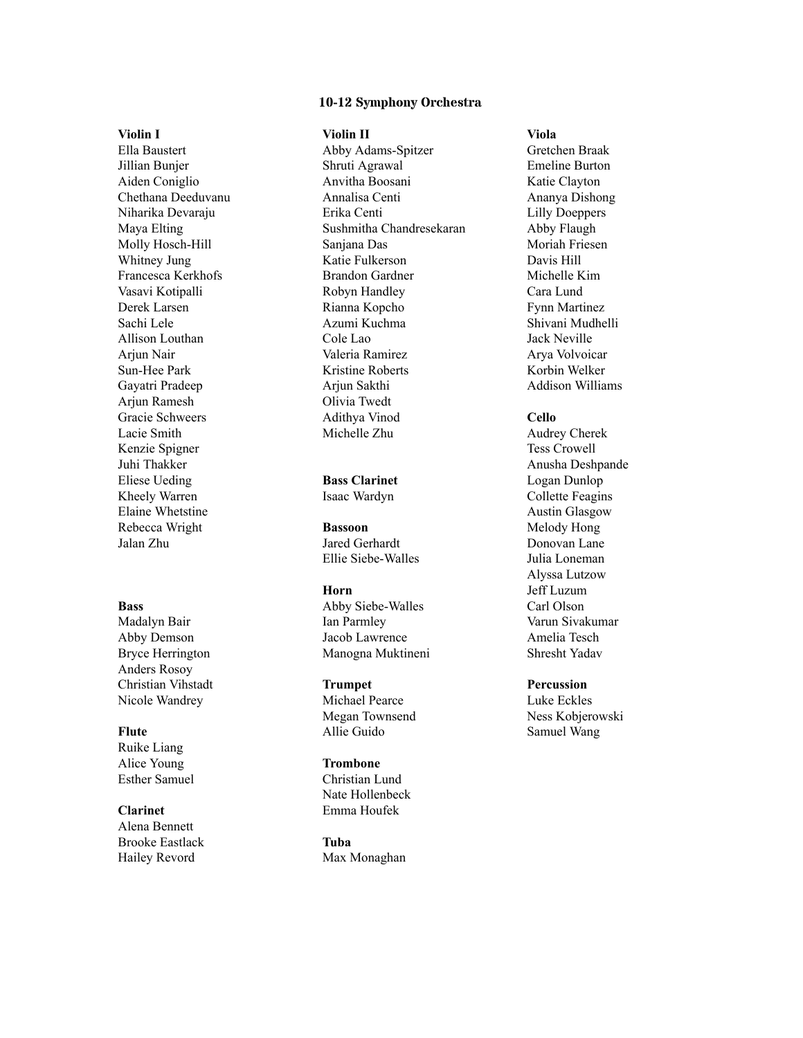#### **10-12 Symphony Orchestra**

#### **Violin I**

Ella Baustert Jillian Bunjer Aiden Coniglio Chethana Deeduvanu Niharika Devaraju Maya Elting Molly Hosch-Hill Whitney Jung Francesca Kerkhofs Vasavi Kotipalli Derek Larsen Sachi Lele Allison Louthan Arjun Nair Sun-Hee Park Gayatri Pradeep Arjun Ramesh Gracie Schweers Lacie Smith Kenzie Spigner Juhi Thakker Eliese Ueding Kheely Warren Elaine Whetstine Rebecca Wright Jalan Zhu

#### **Bass**

Madalyn Bair Abby Demson Bryce Herrington Anders Rosoy Christian Vihstadt Nicole Wandrey

# **Flute**

Ruike Liang Alice Young Esther Samuel

#### **Clarinet**

Alena Bennett Brooke Eastlack Hailey Revord

#### **Violin II**

Abby Adams-Spitzer Shruti Agrawal Anvitha Boosani Annalisa Centi Erika Centi Sushmitha Chandresekaran Sanjana Das Katie Fulkerson Brandon Gardner Robyn Handley Rianna Kopcho Azumi Kuchma Cole Lao Valeria Ramirez Kristine Roberts Arjun Sakthi Olivia Twedt Adithya Vinod Michelle Zhu

# **Bass Clarinet**

Isaac Wardyn

# **Bassoon**

Jared Gerhardt Ellie Siebe-Walles

#### **Horn**

Abby Siebe-Walles Ian Parmley Jacob Lawrence Manogna Muktineni

#### **Trumpet**

Michael Pearce Megan Townsend Allie Guido

#### **Trombone**

Christian Lund Nate Hollenbeck Emma Houfek

## **Tuba** Max Monaghan

#### **Viola**

Gretchen Braak Emeline Burton Katie Clayton Ananya Dishong Lilly Doeppers Abby Flaugh Moriah Friesen Davis Hill Michelle Kim Cara Lund Fynn Martinez Shivani Mudhelli Jack Neville Arya Volvoicar Korbin Welker Addison Williams

#### **Cello**

Audrey Cherek Tess Crowell Anusha Deshpande Logan Dunlop Collette Feagins Austin Glasgow Melody Hong Donovan Lane Julia Loneman Alyssa Lutzow Jeff Luzum Carl Olson Varun Sivakumar Amelia Tesch Shresht Yadav

# **Percussion**

Luke Eckles Ness Kobjerowski Samuel Wang